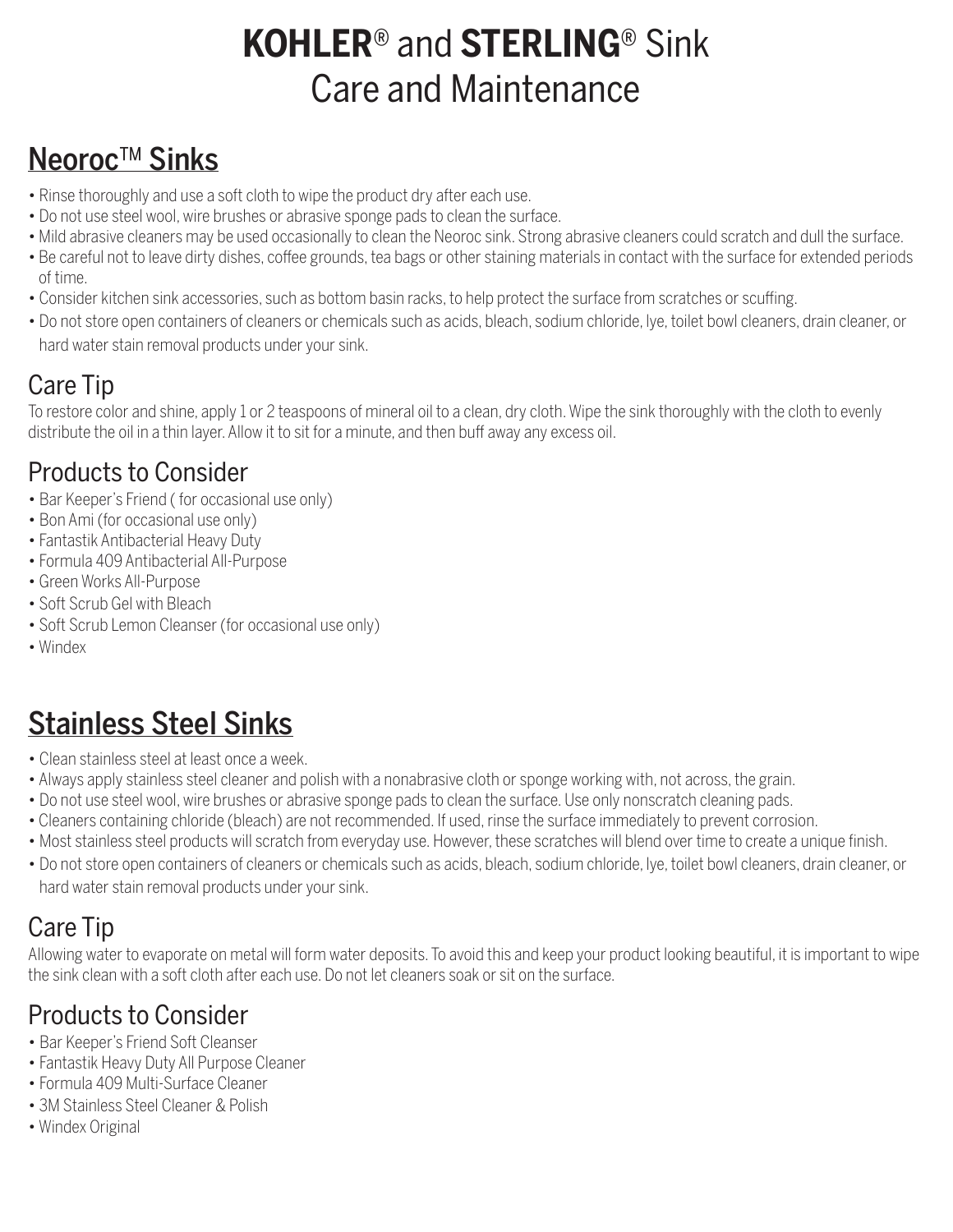# **KOHLER**® and **STERLING**® Sink Care and Maintenance

### Neoroc™ Sinks

- Rinse thoroughly and use a soft cloth to wipe the product dry after each use.
- Do not use steel wool, wire brushes or abrasive sponge pads to clean the surface.
- Mild abrasive cleaners may be used occasionally to clean the Neoroc sink. Strong abrasive cleaners could scratch and dull the surface.
- Be careful not to leave dirty dishes, coffee grounds, tea bags or other staining materials in contact with the surface for extended periods of time.
- Consider kitchen sink accessories, such as bottom basin racks, to help protect the surface from scratches or scuffing.
- Do not store open containers of cleaners or chemicals such as acids, bleach, sodium chloride, lye, toilet bowl cleaners, drain cleaner, or hard water stain removal products under your sink.

### Care Tip

To restore color and shine, apply 1 or 2 teaspoons of mineral oil to a clean, dry cloth. Wipe the sink thoroughly with the cloth to evenly distribute the oil in a thin layer. Allow it to sit for a minute, and then buff away any excess oil.

#### Products to Consider

- Bar Keeper's Friend ( for occasional use only)
- Bon Ami (for occasional use only)
- Fantastik Antibacterial Heavy Duty
- Formula 409 Antibacterial All-Purpose
- Green Works All-Purpose
- Soft Scrub Gel with Bleach
- Soft Scrub Lemon Cleanser (for occasional use only)
- Windex

## Stainless Steel Sinks

- Clean stainless steel at least once a week.
- Always apply stainless steel cleaner and polish with a nonabrasive cloth or sponge working with, not across, the grain.
- Do not use steel wool, wire brushes or abrasive sponge pads to clean the surface. Use only nonscratch cleaning pads.
- Cleaners containing chloride (bleach) are not recommended. If used, rinse the surface immediately to prevent corrosion.
- Most stainless steel products will scratch from everyday use. However, these scratches will blend over time to create a unique finish.
- Do not store open containers of cleaners or chemicals such as acids, bleach, sodium chloride, lye, toilet bowl cleaners, drain cleaner, or hard water stain removal products under your sink.

### Care Tip

Allowing water to evaporate on metal will form water deposits. To avoid this and keep your product looking beautiful, it is important to wipe the sink clean with a soft cloth after each use. Do not let cleaners soak or sit on the surface.

#### Products to Consider

- Bar Keeper's Friend Soft Cleanser
- Fantastik Heavy Duty All Purpose Cleaner
- Formula 409 Multi-Surface Cleaner
- 3M Stainless Steel Cleaner & Polish
- Windex Original